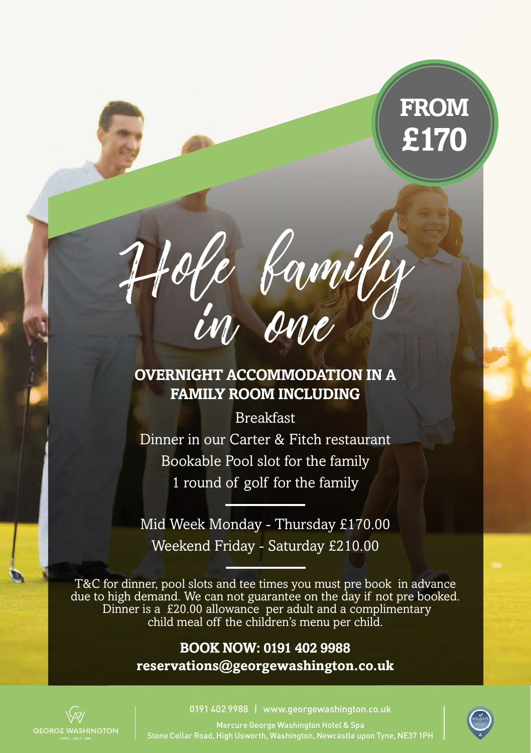# **FROM £170**



### **OVERNIGHT ACCOMMODATION IN A FAMILY ROOM INCLUDING**

Breakfast

Dinner in our Carter & Fitch restaurant Bookable Pool slot for the family 1 round of golf for the family

Mid Week Monday - Thursday £170.00 Weekend Friday - Saturday £210.00

T&C for dinner, pool slots and tee times you must pre book in advance due to high demand. We can not guarantee on the day if not pre booked. Dinner is a £20.00 allowance per adult and a complimentary child meal off the children's menu per child.

#### **BOOK NOW: 0191 402 9988 reservations@georgewashington.co.uk**



0191 402 9988 | www.georgewashington.co.uk

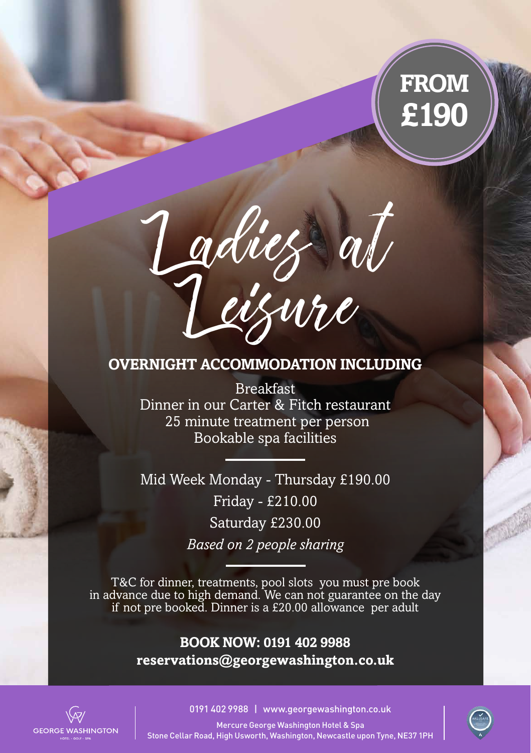# **FROM £190**



#### **OVERNIGHT ACCOMMODATION INCLUDING**

Breakfast Dinner in our Carter & Fitch restaurant 25 minute treatment per person Bookable spa facilities

Mid Week Monday - Thursday £190.00 Friday - £210.00 Saturday £230.00 *Based on 2 people sharing*

T&C for dinner, treatments, pool slots you must pre book in advance due to high demand. We can not guarantee on the day if not pre booked. Dinner is a £20.00 allowance per adult

#### **BOOK NOW: 0191 402 9988 reservations@georgewashington.co.uk**



0191 402 9988 | www.georgewashington.co.uk

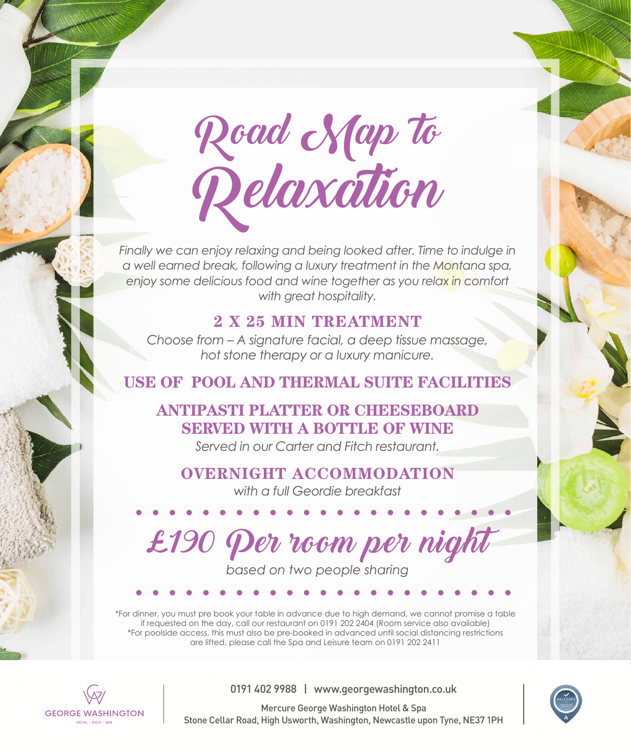Road Nap lo Relaxation

Finally we can enjoy relaxing and being looked after. Time to indulge in *a well earned break, following a luxury treatment in the Montana spa, enjoy some delicious food and wine together as you relax in comfort with great hospitality.* 

### **2 X 25 MIN TREATMENT**

*Choose from – A signature facial, a deep tissue massage, hot stone therapy or a luxury manicure.*

### **USE OF POOL AND THERMAL SUITE FACILITIES**

# **ANTIPASTI PLATTER OR CHEESEBOARD SERVED WITH A BOTTLE OF WINE**

*Served in our Carter and Fitch restaurant.* 

## **OVERNIGHT ACCOMMODATION**

*with a full Geordie breakfast*

£190 Per room per night

*based on two people sharing*

\*For dinner, you must pre book your table in advance due to high demand, we cannot promise a table if requested on the day, call our restaurant on 0191 202 2404 (Room service also available) \*For poolside access, this must also be pre-booked in advanced until social distancing restrictions are lifted, please call the Spa and Leisure team on 0191 202 2411



0191 402 9988 | www.georgewashington.co.uk

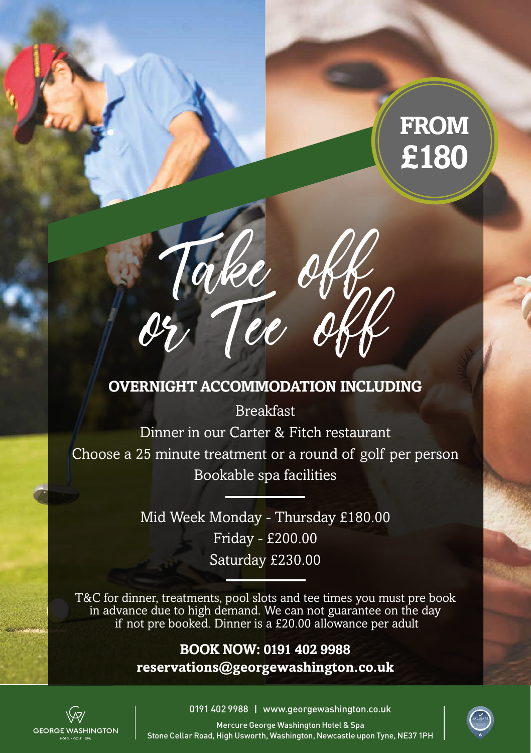# **FROM £180**



### **OVERNIGHT ACCOMMODATION INCLUDING**

Breakfast Dinner in our Carter & Fitch restaurant Choose a 25 minute treatment or a round of golf per person Bookable spa facilities

> Mid Week Monday - Thursday £180.00 Friday - £200.00 Saturday £230.00

T&C for dinner, treatments, pool slots and tee times you must pre book in advance due to high demand. We can not guarantee on the day if not pre booked. Dinner is a £20.00 allowance per adult

#### **BOOK NOW: 0191 402 9988 reservations@georgewashington.co.uk**



0191 402 9988 | www.georgewashington.co.uk